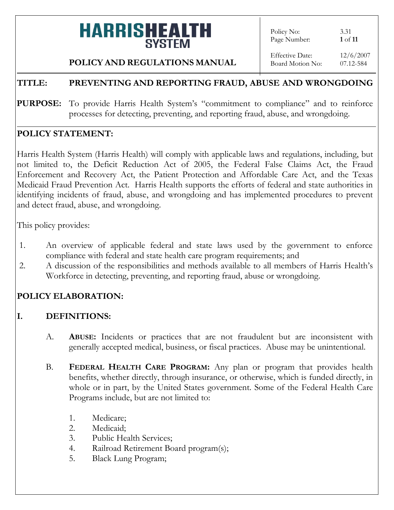Policy No: 3.31 Page Number: **1** of **11**

### **POLICY AND REGULATIONS MANUAL**

Effective Date: 12/6/2007 Board Motion No: 07.12-584

### **TITLE: PREVENTING AND REPORTING FRAUD, ABUSE AND WRONGDOING**

PURPOSE: To provide Harris Health System's "commitment to compliance" and to reinforce processes for detecting, preventing, and reporting fraud, abuse, and wrongdoing.

#### **POLICY STATEMENT:**

Harris Health System (Harris Health) will comply with applicable laws and regulations, including, but not limited to, the Deficit Reduction Act of 2005, the Federal False Claims Act, the Fraud Enforcement and Recovery Act, the Patient Protection and Affordable Care Act, and the Texas Medicaid Fraud Prevention Act. Harris Health supports the efforts of federal and state authorities in identifying incidents of fraud, abuse, and wrongdoing and has implemented procedures to prevent and detect fraud, abuse, and wrongdoing.

This policy provides:

- 1. An overview of applicable federal and state laws used by the government to enforce compliance with federal and state health care program requirements; and
- 2. A discussion of the responsibilities and methods available to all members of Harris Health's Workforce in detecting, preventing, and reporting fraud, abuse or wrongdoing.

### **POLICY ELABORATION:**

### **I. DEFINITIONS:**

- A. **ABUSE:** Incidents or practices that are not fraudulent but are inconsistent with generally accepted medical, business, or fiscal practices. Abuse may be unintentional.
- B. **FEDERAL HEALTH CARE PROGRAM:** Any plan or program that provides health benefits, whether directly, through insurance, or otherwise, which is funded directly, in whole or in part, by the United States government. Some of the Federal Health Care Programs include, but are not limited to:
	- 1. Medicare;
	- 2. Medicaid;
	- 3. Public Health Services;
	- 4. Railroad Retirement Board program(s);
	- 5. Black Lung Program;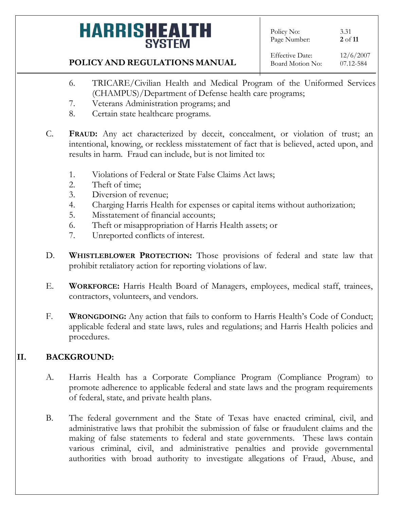Policy No: 3.31<br>Page Number: 2 of 11 Page Number:

### **POLICY AND REGULATIONS MANUAL**

- 6. TRICARE/Civilian Health and Medical Program of the Uniformed Services (CHAMPUS)/Department of Defense health care programs;
- 7. Veterans Administration programs; and
- 8. Certain state healthcare programs.
- C. **FRAUD:** Any act characterized by deceit, concealment, or violation of trust; an intentional, knowing, or reckless misstatement of fact that is believed, acted upon, and results in harm. Fraud can include, but is not limited to:
	- 1. Violations of Federal or State False Claims Act laws;
	- 2. Theft of time;
	- 3. Diversion of revenue;
	- 4. Charging Harris Health for expenses or capital items without authorization;
	- 5. Misstatement of financial accounts;
	- 6. Theft or misappropriation of Harris Health assets; or
	- 7. Unreported conflicts of interest.
- D. **WHISTLEBLOWER PROTECTION:** Those provisions of federal and state law that prohibit retaliatory action for reporting violations of law.
- E. **WORKFORCE:** Harris Health Board of Managers, employees, medical staff, trainees, contractors, volunteers, and vendors.
- F. **WRONGDOING:** Any action that fails to conform to Harris Health's Code of Conduct; applicable federal and state laws, rules and regulations; and Harris Health policies and procedures.

### **II. BACKGROUND:**

- A. Harris Health has a Corporate Compliance Program (Compliance Program) to promote adherence to applicable federal and state laws and the program requirements of federal, state, and private health plans.
- B. The federal government and the State of Texas have enacted criminal, civil, and administrative laws that prohibit the submission of false or fraudulent claims and the making of false statements to federal and state governments. These laws contain various criminal, civil, and administrative penalties and provide governmental authorities with broad authority to investigate allegations of Fraud, Abuse, and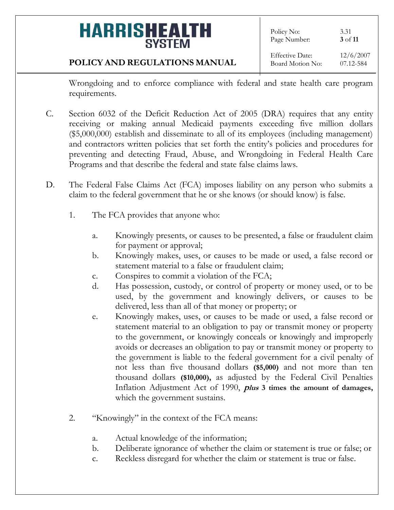### **POLICY AND REGULATIONS MANUAL**

Wrongdoing and to enforce compliance with federal and state health care program requirements.

- C. Section 6032 of the Deficit Reduction Act of 2005 (DRA) requires that any entity receiving or making annual Medicaid payments exceeding five million dollars (\$5,000,000) establish and disseminate to all of its employees (including management) and contractors written policies that set forth the entity's policies and procedures for preventing and detecting Fraud, Abuse, and Wrongdoing in Federal Health Care Programs and that describe the federal and state false claims laws.
- D. The Federal False Claims Act (FCA) imposes liability on any person who submits a claim to the federal government that he or she knows (or should know) is false.
	- 1. The FCA provides that anyone who:
		- a. Knowingly presents, or causes to be presented, a false or fraudulent claim for payment or approval;
		- b. Knowingly makes, uses, or causes to be made or used, a false record or statement material to a false or fraudulent claim;
		- c. Conspires to commit a violation of the FCA;
		- d. Has possession, custody, or control of property or money used, or to be used, by the government and knowingly delivers, or causes to be delivered, less than all of that money or property; or
		- e. Knowingly makes, uses, or causes to be made or used, a false record or statement material to an obligation to pay or transmit money or property to the government, or knowingly conceals or knowingly and improperly avoids or decreases an obligation to pay or transmit money or property to the government is liable to the federal government for a civil penalty of not less than five thousand dollars **(\$5,000)** and not more than ten thousand dollars **(\$10,000),** as adjusted by the Federal Civil Penalties Inflation Adjustment Act of 1990, **<sup>p</sup>lus 3 times the amount of damages,** which the government sustains.
	- 2. "Knowingly" in the context of the FCA means:
		- a. Actual knowledge of the information;
		- b. Deliberate ignorance of whether the claim or statement is true or false; or
		- c. Reckless disregard for whether the claim or statement is true or false.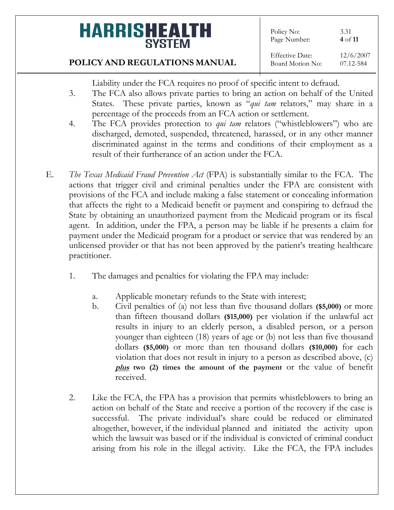#### **POLICY AND REGULATIONS MANUAL**

- Liability under the FCA requires no proof of specific intent to defraud.
- 3. The FCA also allows private parties to bring an action on behalf of the United States. These private parties, known as "*qui tam* relators," may share in a percentage of the proceeds from an FCA action or settlement.
- 4. The FCA provides protection to *qui tam* relators ("whistleblowers") who are discharged, demoted, suspended, threatened, harassed, or in any other manner discriminated against in the terms and conditions of their employment as a result of their furtherance of an action under the FCA.
- E. *The Texas Medicaid Fraud Prevention Act* (FPA) is substantially similar to the FCA. The actions that trigger civil and criminal penalties under the FPA are consistent with provisions of the FCA and include making a false statement or concealing information that affects the right to a Medicaid benefit or payment and conspiring to defraud the State by obtaining an unauthorized payment from the Medicaid program or its fiscal agent. In addition, under the FPA, a person may be liable if he presents a claim for payment under the Medicaid program for a product or service that was rendered by an unlicensed provider or that has not been approved by the patient's treating healthcare practitioner.
	- 1. The damages and penalties for violating the FPA may include:
		- a. Applicable monetary refunds to the State with interest;
		- b. Civil penalties of (a) not less than five thousand dollars **(\$5,000)** or more than fifteen thousand dollars **(\$15,000)** per violation if the unlawful act results in injury to an elderly person, a disabled person, or a person younger than eighteen (18) years of age or (b) not less than five thousand dollars **(\$5,000)** or more than ten thousand dollars **(\$10,000)** for each violation that does not result in injury to a person as described above, (c) **plus two (2) times the amount of the payment** or the value of benefit received.
	- 2. Like the FCA, the FPA has a provision that permits whistleblowers to bring an action on behalf of the State and receive a portion of the recovery if the case is successful. The private individual's share could be reduced or eliminated altogether, however, if the individual planned and initiated the activity upon which the lawsuit was based or if the individual is convicted of criminal conduct arising from his role in the illegal activity. Like the FCA, the FPA includes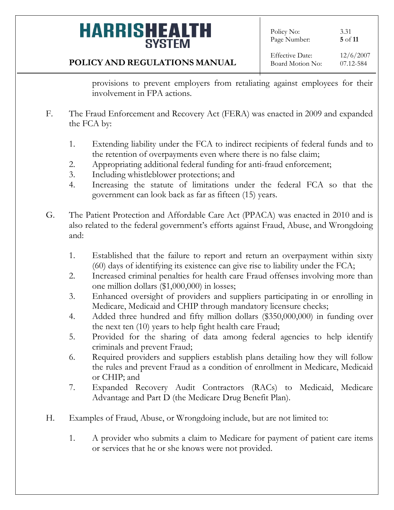Policy No: 3.31 Page Number: **5** of **11**

### **POLICY AND REGULATIONS MANUAL**

provisions to prevent employers from retaliating against employees for their involvement in FPA actions.

- F. The Fraud Enforcement and Recovery Act (FERA) was enacted in 2009 and expanded the FCA by:
	- 1. Extending liability under the FCA to indirect recipients of federal funds and to the retention of overpayments even where there is no false claim;
	- 2. Appropriating additional federal funding for anti-fraud enforcement;
	- 3. Including whistleblower protections; and
	- 4. Increasing the statute of limitations under the federal FCA so that the government can look back as far as fifteen (15) years.
- G. The Patient Protection and Affordable Care Act (PPACA) was enacted in 2010 and is also related to the federal government's efforts against Fraud, Abuse, and Wrongdoing and:
	- 1. Established that the failure to report and return an overpayment within sixty (60) days of identifying its existence can give rise to liability under the FCA;
	- 2. Increased criminal penalties for health care Fraud offenses involving more than one million dollars (\$1,000,000) in losses;
	- 3. Enhanced oversight of providers and suppliers participating in or enrolling in Medicare, Medicaid and CHIP through mandatory licensure checks;
	- 4. Added three hundred and fifty million dollars (\$350,000,000) in funding over the next ten (10) years to help fight health care Fraud;
	- 5. Provided for the sharing of data among federal agencies to help identify criminals and prevent Fraud;
	- 6. Required providers and suppliers establish plans detailing how they will follow the rules and prevent Fraud as a condition of enrollment in Medicare, Medicaid or CHIP; and
	- 7. Expanded Recovery Audit Contractors (RACs) to Medicaid, Medicare Advantage and Part D (the Medicare Drug Benefit Plan).
- H. Examples of Fraud, Abuse, or Wrongdoing include, but are not limited to:
	- 1. A provider who submits a claim to Medicare for payment of patient care items or services that he or she knows were not provided.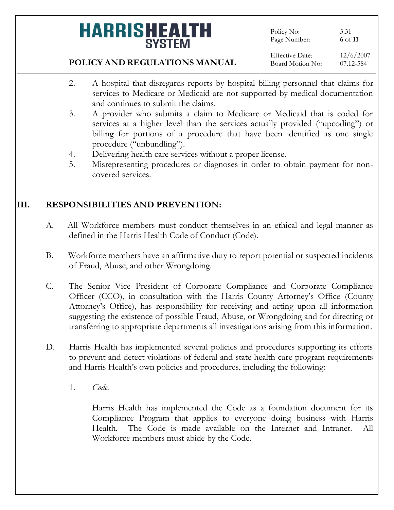Policy No: 3.31 Page Number: **6** of **11**

#### Effective Date: 12/6/2007 Board Motion No: 07.12-584

### **POLICY AND REGULATIONS MANUAL**

- 2. A hospital that disregards reports by hospital billing personnel that claims for services to Medicare or Medicaid are not supported by medical documentation and continues to submit the claims.
- 3. A provider who submits a claim to Medicare or Medicaid that is coded for services at a higher level than the services actually provided ("upcoding") or billing for portions of a procedure that have been identified as one single procedure ("unbundling").
- 4. Delivering health care services without a proper license.
- 5. Misrepresenting procedures or diagnoses in order to obtain payment for noncovered services.

### **III. RESPONSIBILITIES AND PREVENTION:**

- A. All Workforce members must conduct themselves in an ethical and legal manner as defined in the Harris Health Code of Conduct (Code).
- B. Workforce members have an affirmative duty to report potential or suspected incidents of Fraud, Abuse, and other Wrongdoing.
- C. The Senior Vice President of Corporate Compliance and Corporate Compliance Officer (CCO), in consultation with the Harris County Attorney's Office (County Attorney's Office), has responsibility for receiving and acting upon all information suggesting the existence of possible Fraud, Abuse, or Wrongdoing and for directing or transferring to appropriate departments all investigations arising from this information.
- D. Harris Health has implemented several policies and procedures supporting its efforts to prevent and detect violations of federal and state health care program requirements and Harris Health's own policies and procedures, including the following:
	- 1. *Code.*

Harris Health has implemented the Code as a foundation document for its Compliance Program that applies to everyone doing business with Harris Health. The Code is made available on the Internet and Intranet. All Workforce members must abide by the Code.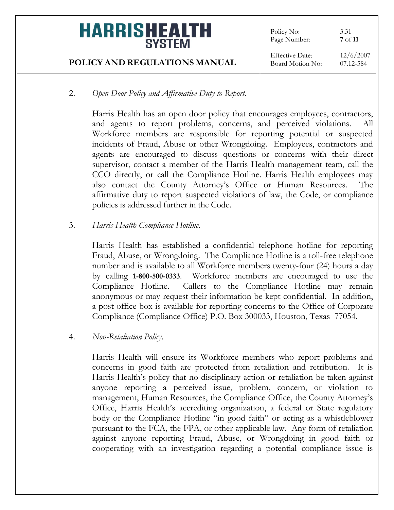Policy No: 3.31 Page Number: **7** of **11**

Effective Date: 12/6/2007 Board Motion No: 07.12-584

### 2. *Open Door Policy and Affirmative Duty to Report.*

Harris Health has an open door policy that encourages employees, contractors, and agents to report problems, concerns, and perceived violations. All Workforce members are responsible for reporting potential or suspected incidents of Fraud, Abuse or other Wrongdoing. Employees, contractors and agents are encouraged to discuss questions or concerns with their direct supervisor, contact a member of the Harris Health management team, call the CCO directly, or call the Compliance Hotline. Harris Health employees may also contact the County Attorney's Office or Human Resources. The affirmative duty to report suspected violations of law, the Code, or compliance policies is addressed further in the Code.

### 3. *Harris Health Compliance Hotline.*

Harris Health has established a confidential telephone hotline for reporting Fraud, Abuse, or Wrongdoing. The Compliance Hotline is a toll-free telephone number and is available to all Workforce members twenty-four (24) hours a day by calling **1-800-500-0333**. Workforce members are encouraged to use the Compliance Hotline. Callers to the Compliance Hotline may remain anonymous or may request their information be kept confidential. In addition, a post office box is available for reporting concerns to the Office of Corporate Compliance (Compliance Office) P.O. Box 300033, Houston, Texas 77054.

### 4. *Non-Retaliation Policy*.

Harris Health will ensure its Workforce members who report problems and concerns in good faith are protected from retaliation and retribution. It is Harris Health's policy that no disciplinary action or retaliation be taken against anyone reporting a perceived issue, problem, concern, or violation to management, Human Resources, the Compliance Office, the County Attorney's Office, Harris Health's accrediting organization, a federal or State regulatory body or the Compliance Hotline "in good faith" or acting as a whistleblower pursuant to the FCA, the FPA, or other applicable law. Any form of retaliation against anyone reporting Fraud, Abuse, or Wrongdoing in good faith or cooperating with an investigation regarding a potential compliance issue is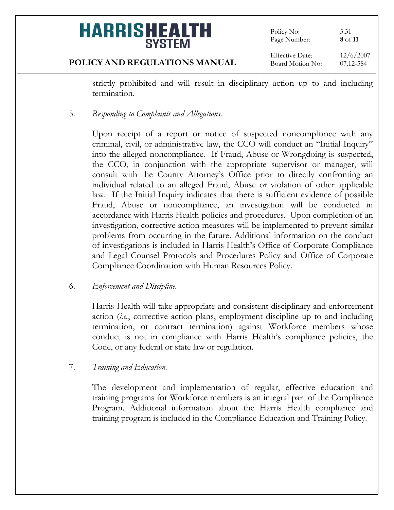Policy No: 3.31 Page Number: **8** of **11**

#### **POLICY AND REGULATIONS MANUAL**

Effective Date: 12/6/2007 Board Motion No: 07.12-584

strictly prohibited and will result in disciplinary action up to and including termination.

5. *Responding to Complaints and Allegations*.

Upon receipt of a report or notice of suspected noncompliance with any criminal, civil, or administrative law, the CCO will conduct an "Initial Inquiry" into the alleged noncompliance. If Fraud, Abuse or Wrongdoing is suspected, the CCO, in conjunction with the appropriate supervisor or manager, will consult with the County Attorney's Office prior to directly confronting an individual related to an alleged Fraud, Abuse or violation of other applicable law. If the Initial Inquiry indicates that there is sufficient evidence of possible Fraud, Abuse or noncompliance, an investigation will be conducted in accordance with Harris Health policies and procedures. Upon completion of an investigation, corrective action measures will be implemented to prevent similar problems from occurring in the future. Additional information on the conduct of investigations is included in Harris Health's Office of Corporate Compliance and Legal Counsel Protocols and Procedures Policy and Office of Corporate Compliance Coordination with Human Resources Policy.

### 6. *Enforcement and Discipline.*

Harris Health will take appropriate and consistent disciplinary and enforcement action (*i.e.*, corrective action plans, employment discipline up to and including termination, or contract termination) against Workforce members whose conduct is not in compliance with Harris Health's compliance policies, the Code, or any federal or state law or regulation.

7. *Training and Education.*

The development and implementation of regular, effective education and training programs for Workforce members is an integral part of the Compliance Program. Additional information about the Harris Health compliance and training program is included in the Compliance Education and Training Policy.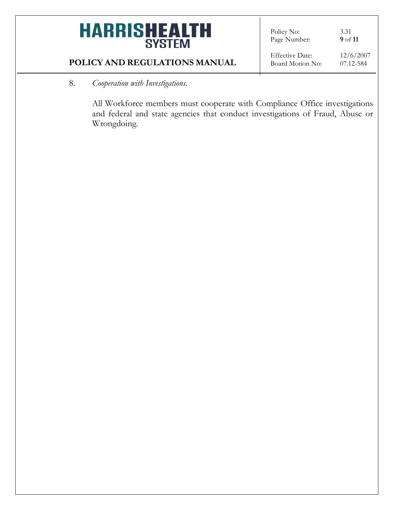# **HARRISHEALTH**

Policy No: 3.31<br>Page Number: 9 of 11 Page Number:

#### **POLICY AND REGULATIONS MANUAL**

Effective Date: 12/6/2007 Board Motion No: 07.12-584

#### 8. *Cooperation with Investigations.*

All Workforce members must cooperate with Compliance Office investigations and federal and state agencies that conduct investigations of Fraud, Abuse or Wrongdoing.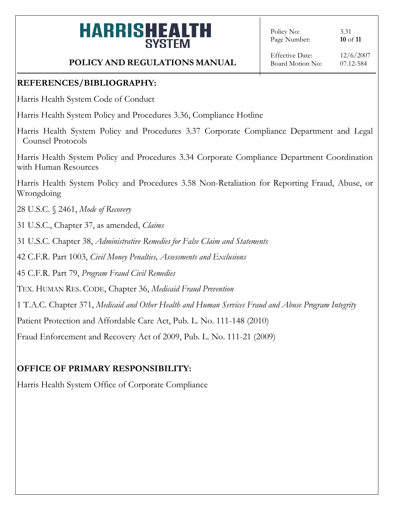Policy No: 3.31 Page Number: **10** of **11**

### **POLICY AND REGULATIONS MANUAL**

### **REFERENCES/BIBLIOGRAPHY:**

Harris Health System Code of Conduct

Harris Health System Policy and Procedures 3.36, Compliance Hotline

Harris Health System Policy and Procedures 3.37 Corporate Compliance Department and Legal Counsel Protocols

Harris Health System Policy and Procedures 3.34 Corporate Compliance Department Coordination with Human Resources

Harris Health System Policy and Procedures 3.58 Non-Retaliation for Reporting Fraud, Abuse, or Wrongdoing

28 U.S.C. § 2461, *Mode of Recovery*

31 U.S.C., Chapter 37, as amended, *Claims* 

31 U.S.C. Chapter 38, *Administrative Remedies for False Claim and Statements*

42 C.F.R. Part 1003, *Civil Money Penalties, Assessments and Exclusions*

45 C.F.R. Part 79, *Program Fraud Civil Remedies*

TEX. HUMAN RES. CODE, Chapter 36, *Medicaid Fraud Prevention*

1 T.A.C. Chapter 371, *Medicaid and Other Health and Human Services Fraud and Abuse Program Integrity*

Patient Protection and Affordable Care Act, Pub. L. No. 111-148 (2010)

Fraud Enforcement and Recovery Act of 2009, Pub. L. No. 111-21 (2009)

### **OFFICE OF PRIMARY RESPONSIBILITY:**

Harris Health System Office of Corporate Compliance